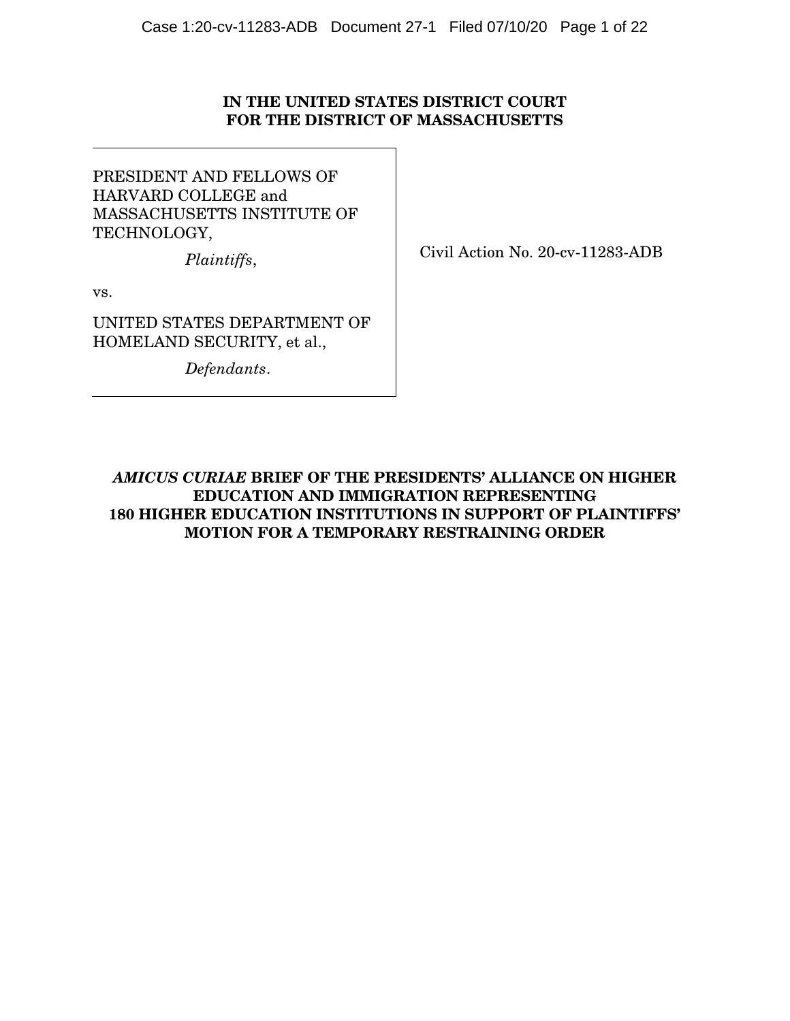## IN THE UNITED STATES DISTRICT COURT FOR THE DISTRICT OF MASSACHUSETTS

PRESIDENT AND FELLOWS OF HARVARD COLLEGE and MASSACHUSETTS INSTITUTE OF TECHNOLOGY,

*Plaintiffs*,

Civil Action No. 20-cv-11283-ADB

vs.

UNITED STATES DEPARTMENT OF HOMELAND SECURITY, et al.,

*Defendants*.

AMICUS CURIAE BRIEF OF THE PRESIDENTS' ALLIANCE ON HIGHER EDUCATION AND IMMIGRATION REPRESENTING 180 HIGHER EDUCATION INSTITUTIONS IN SUPPORT OF PLAINTIFFS' MOTION FOR A TEMPORARY RESTRAINING ORDER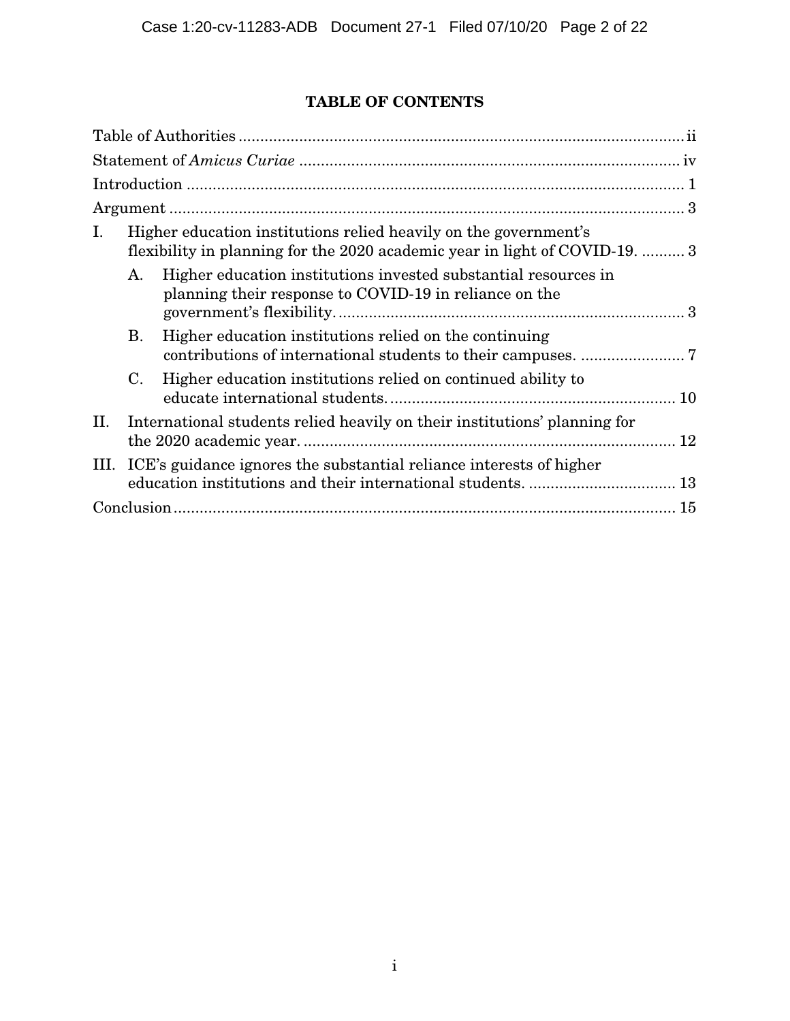# TABLE OF CONTENTS

| Ι. |                                                                          | Higher education institutions relied heavily on the government's<br>flexibility in planning for the 2020 academic year in light of COVID-19.  3 |  |  |
|----|--------------------------------------------------------------------------|-------------------------------------------------------------------------------------------------------------------------------------------------|--|--|
|    | Α.                                                                       | Higher education institutions invested substantial resources in<br>planning their response to COVID-19 in reliance on the                       |  |  |
|    | B.                                                                       | Higher education institutions relied on the continuing                                                                                          |  |  |
|    | $\rm C$ .                                                                | Higher education institutions relied on continued ability to                                                                                    |  |  |
| П. |                                                                          | International students relied heavily on their institutions' planning for                                                                       |  |  |
|    | III. ICE's guidance ignores the substantial reliance interests of higher |                                                                                                                                                 |  |  |
| 15 |                                                                          |                                                                                                                                                 |  |  |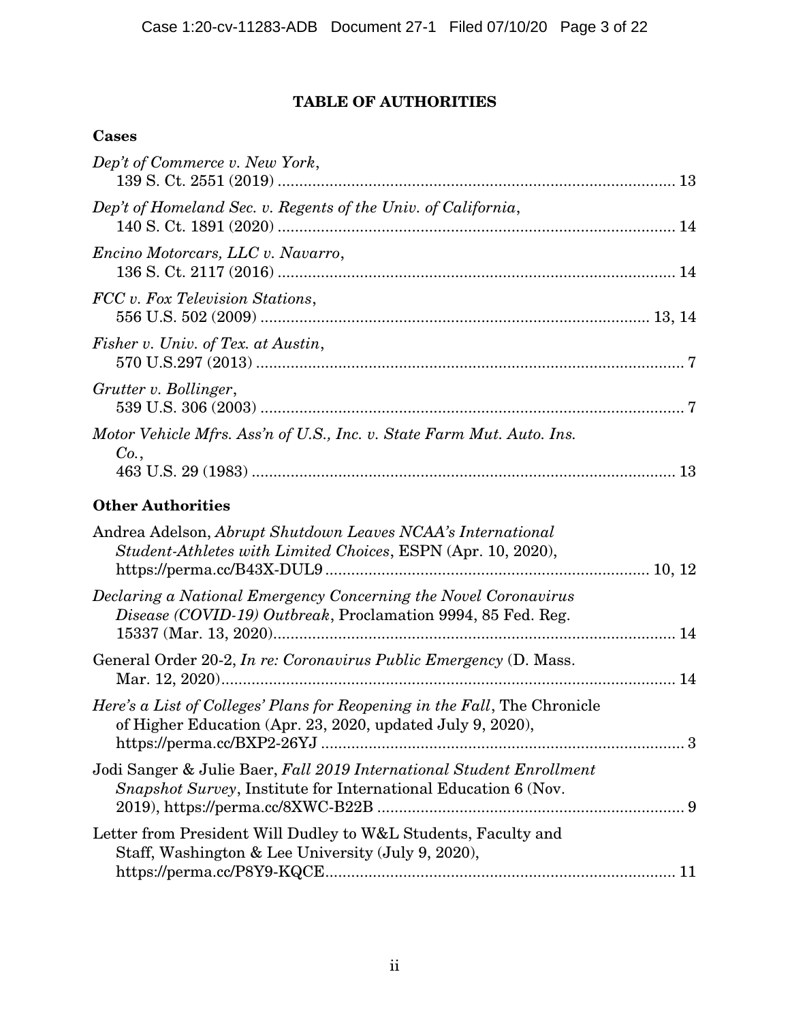# TABLE OF AUTHORITIES

# **Cases**

| Dep't of Commerce v. New York,                                                                                                          |  |
|-----------------------------------------------------------------------------------------------------------------------------------------|--|
| Dep't of Homeland Sec. v. Regents of the Univ. of California,                                                                           |  |
| Encino Motorcars, LLC v. Navarro,                                                                                                       |  |
| FCC v. Fox Television Stations,                                                                                                         |  |
| Fisher v. Univ. of Tex. at Austin,                                                                                                      |  |
| Grutter v. Bollinger,                                                                                                                   |  |
| Motor Vehicle Mfrs. Ass'n of U.S., Inc. v. State Farm Mut. Auto. Ins.<br>Co.,                                                           |  |
| <b>Other Authorities</b>                                                                                                                |  |
| Andrea Adelson, Abrupt Shutdown Leaves NCAA's International<br>Student-Athletes with Limited Choices, ESPN (Apr. 10, 2020),             |  |
| Declaring a National Emergency Concerning the Novel Coronavirus<br>Disease (COVID-19) Outbreak, Proclamation 9994, 85 Fed. Reg.         |  |
| General Order 20-2, <i>In re: Coronavirus Public Emergency</i> (D. Mass.                                                                |  |
| Here's a List of Colleges' Plans for Reopening in the Fall, The Chronicle<br>of Higher Education (Apr. 23, 2020, updated July 9, 2020), |  |
| Jodi Sanger & Julie Baer, Fall 2019 International Student Enrollment<br>Snapshot Survey, Institute for International Education 6 (Nov.  |  |
| Letter from President Will Dudley to W&L Students, Faculty and<br>Staff, Washington & Lee University (July 9, 2020),                    |  |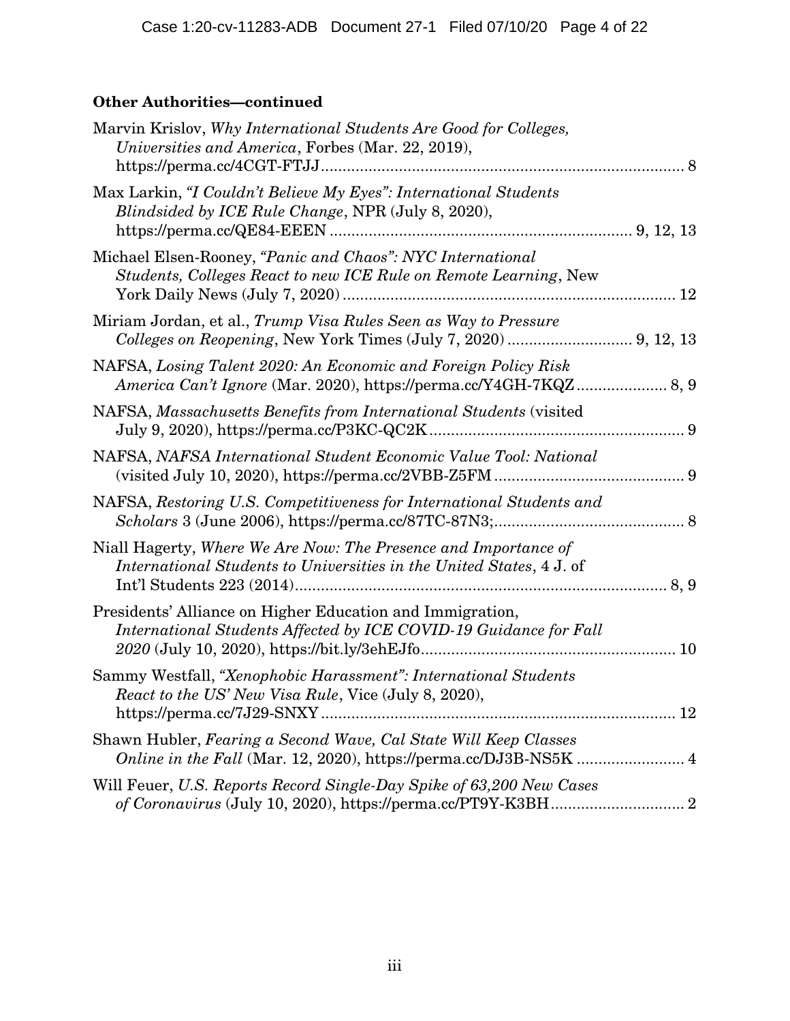# Other Authorities—continued

| Marvin Krislov, Why International Students Are Good for Colleges,<br>Universities and America, Forbes (Mar. 22, 2019),                                                         |  |
|--------------------------------------------------------------------------------------------------------------------------------------------------------------------------------|--|
| Max Larkin, "I Couldn't Believe My Eyes": International Students<br>Blindsided by ICE Rule Change, NPR (July 8, 2020),                                                         |  |
| Michael Elsen-Rooney, "Panic and Chaos": NYC International<br>Students, Colleges React to new ICE Rule on Remote Learning, New                                                 |  |
| Miriam Jordan, et al., Trump Visa Rules Seen as Way to Pressure<br>Colleges on Reopening, New York Times (July 7, 2020)  9, 12, 13                                             |  |
| NAFSA, Losing Talent 2020: An Economic and Foreign Policy Risk<br>America Can't Ignore (Mar. 2020), https://perma.cc/Y4GH-7KQZ 8, 9                                            |  |
| NAFSA, Massachusetts Benefits from International Students (visited                                                                                                             |  |
| NAFSA, NAFSA International Student Economic Value Tool: National                                                                                                               |  |
| NAFSA, Restoring U.S. Competitiveness for International Students and                                                                                                           |  |
| Niall Hagerty, Where We Are Now: The Presence and Importance of<br>International Students to Universities in the United States, 4 J. of                                        |  |
| Presidents' Alliance on Higher Education and Immigration,<br>International Students Affected by ICE COVID-19 Guidance for Fall<br>2020 (July 10, 2020), https://bit.ly/3ehEJfo |  |
| Sammy Westfall, "Xenophobic Harassment": International Students<br>React to the US' New Visa Rule, Vice (July 8, 2020),                                                        |  |
| Shawn Hubler, Fearing a Second Wave, Cal State Will Keep Classes                                                                                                               |  |
| Will Feuer, U.S. Reports Record Single-Day Spike of 63,200 New Cases                                                                                                           |  |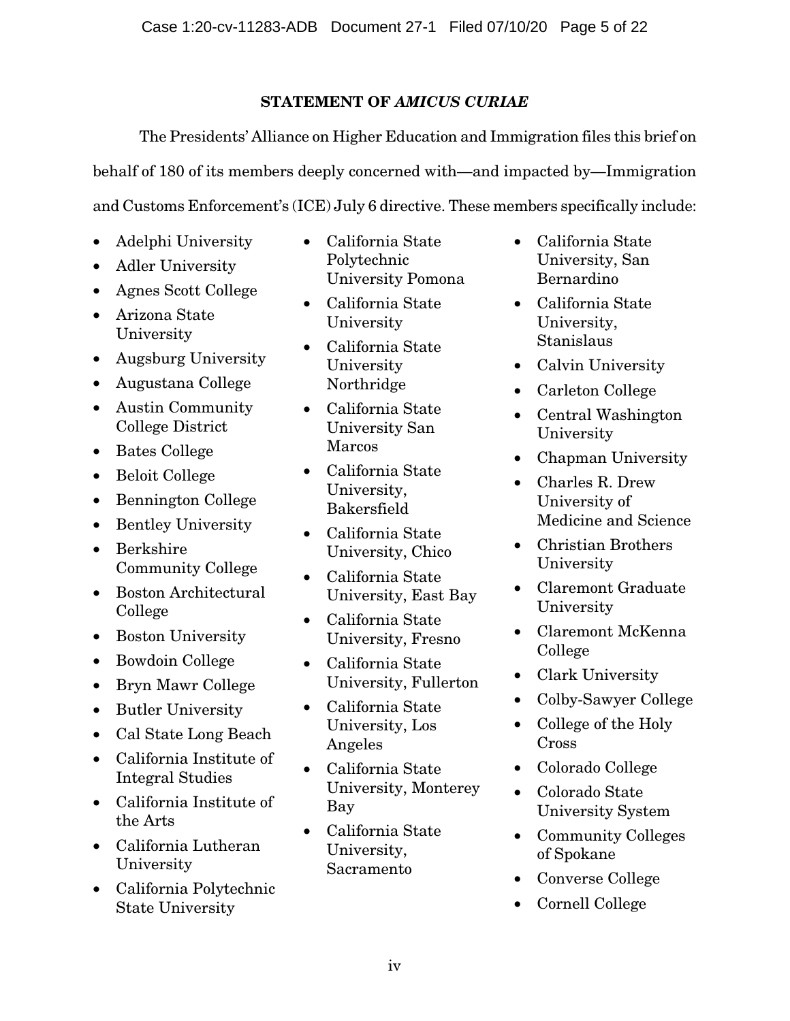# STATEMENT OF AMICUS CURIAE

The Presidents' Alliance on Higher Education and Immigration files this brief on behalf of 180 of its members deeply concerned with—and impacted by—Immigration and Customs Enforcement's (ICE) July 6 directive. These members specifically include:

- Adelphi University
- Adler University
- Agnes Scott College
- Arizona State University
- Augsburg University
- Augustana College
- Austin Community College District
- Bates College
- Beloit College
- Bennington College
- Bentley University
- Berkshire Community College
- Boston Architectural College
- Boston University
- Bowdoin College
- Bryn Mawr College
- Butler University
- Cal State Long Beach
- California Institute of Integral Studies
- California Institute of the Arts
- California Lutheran University
- California Polytechnic State University
- California State Polytechnic University Pomona
- California State University
- California State University Northridge
- California State University San Marcos
- California State University, Bakersfield
- California State University, Chico
- California State University, East Bay
- California State University, Fresno
- California State University, Fullerton
- California State University, Los Angeles
- California State University, Monterey Bay
- California State University, Sacramento
- California State University, San Bernardino
- California State University, Stanislaus
- Calvin University
- Carleton College
- Central Washington University
- Chapman University
- Charles R. Drew University of Medicine and Science
- Christian Brothers University
- Claremont Graduate University
- Claremont McKenna College
- Clark University
- Colby-Sawyer College
- College of the Holy Cross
- Colorado College
- Colorado State University System
- Community Colleges of Spokane
- Converse College
- Cornell College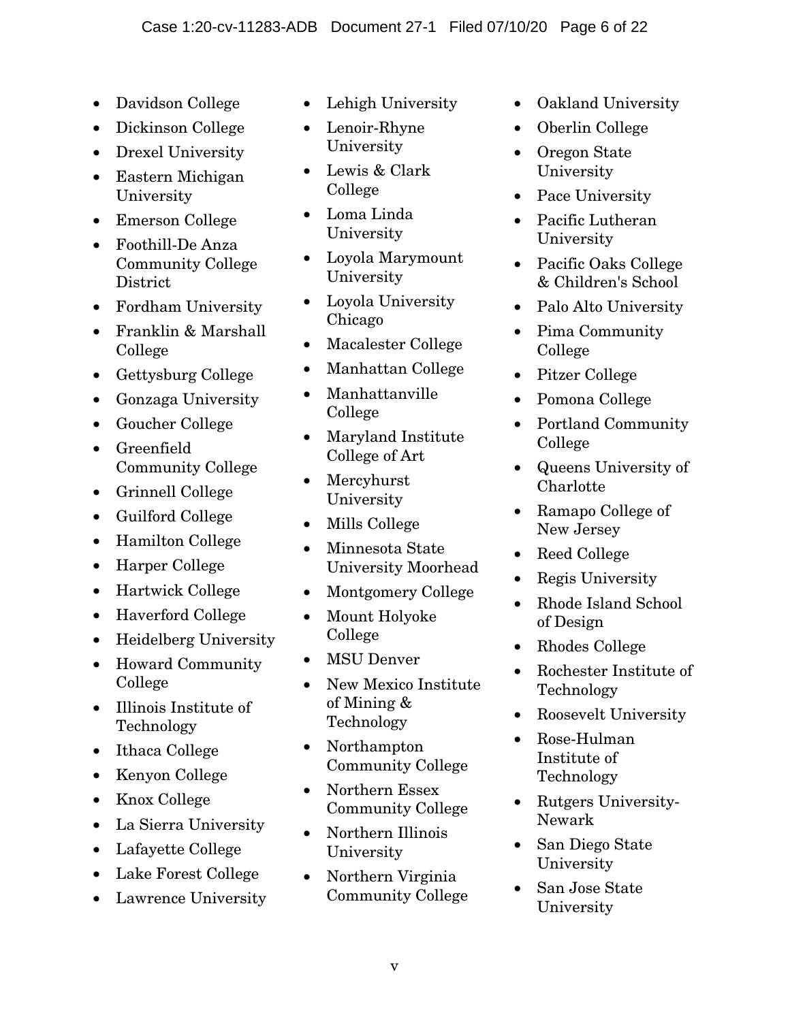- Davidson College
- Dickinson College
- Drexel University
- Eastern Michigan University
- Emerson College
- Foothill-De Anza Community College **District**
- Fordham University
- Franklin & Marshall College
- Gettysburg College
- Gonzaga University
- Goucher College
- Greenfield Community College
- Grinnell College
- Guilford College
- Hamilton College
- Harper College
- Hartwick College
- Haverford College
- Heidelberg University
- Howard Community College
- Illinois Institute of Technology
- Ithaca College
- Kenyon College
- Knox College
- La Sierra University
- Lafayette College
- Lake Forest College
- Lawrence University
- Lehigh University
- Lenoir-Rhyne University
- Lewis & Clark College
- Loma Linda University
- Loyola Marymount University
- Loyola University Chicago
- Macalester College
- Manhattan College
- Manhattanville College
- Maryland Institute College of Art
- **Mercyhurst** University
- Mills College
- Minnesota State University Moorhead
- Montgomery College
- Mount Holyoke College
- **MSU Denver**
- New Mexico Institute of Mining & Technology
- Northampton Community College
- Northern Essex Community College
- Northern Illinois University
- Northern Virginia Community College
- Oakland University
- Oberlin College
- Oregon State University
- Pace University
- Pacific Lutheran University
- Pacific Oaks College & Children's School
- Palo Alto University
- Pima Community College
- Pitzer College
- Pomona College
- Portland Community College
- Queens University of Charlotte
- Ramapo College of New Jersey
- Reed College
- Regis University
- Rhode Island School of Design
- Rhodes College
- Rochester Institute of Technology
- Roosevelt University
- Rose-Hulman Institute of Technology
- Rutgers University-Newark
- San Diego State University
- San Jose State University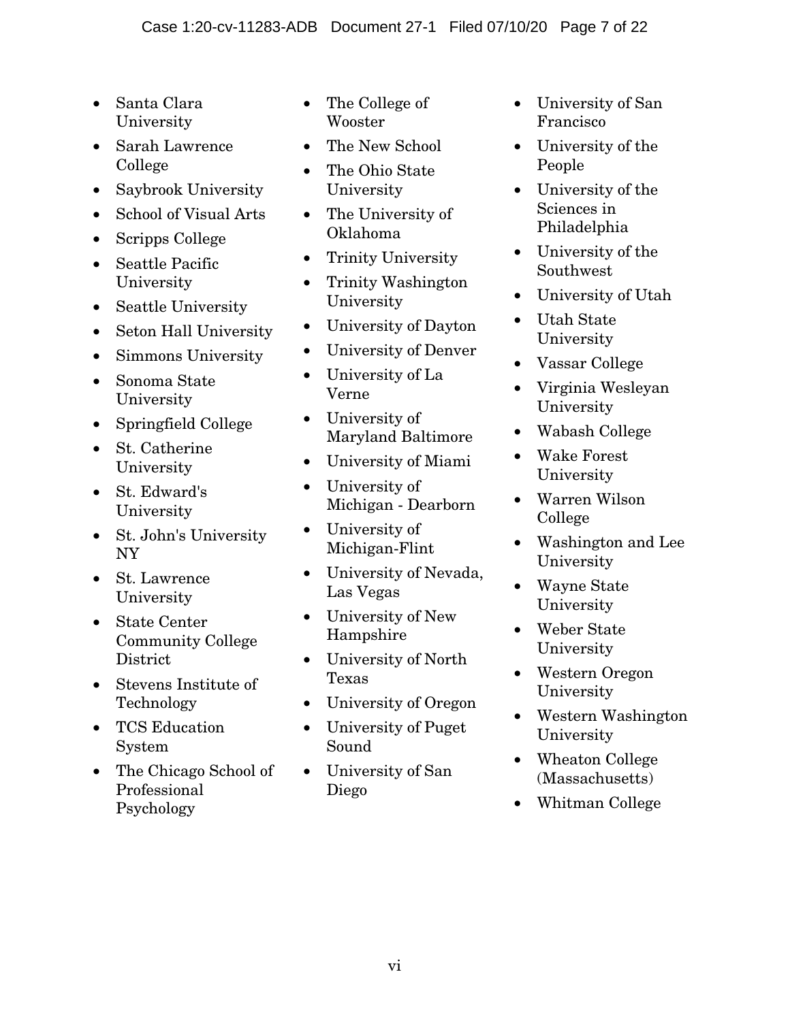- Santa Clara University
- Sarah Lawrence College
- Saybrook University
- School of Visual Arts
- Scripps College
- Seattle Pacific University
- Seattle University
- Seton Hall University
- Simmons University
- Sonoma State University
- Springfield College
- St. Catherine University
- St. Edward's University
- St. John's University NY
- St. Lawrence University
- State Center Community College **District**
- Stevens Institute of Technology
- TCS Education System
- The Chicago School of Professional Psychology
- The College of Wooster
- The New School
- The Ohio State University
- The University of Oklahoma
- Trinity University
- Trinity Washington University
- University of Dayton
- University of Denver
- University of La Verne
- University of Maryland Baltimore
- University of Miami
- University of Michigan - Dearborn
- University of Michigan-Flint
- University of Nevada, Las Vegas
- University of New Hampshire
- University of North Texas
- University of Oregon
- University of Puget Sound
- University of San Diego
- University of San Francisco
- University of the People
- University of the Sciences in Philadelphia
- University of the Southwest
- University of Utah
- Utah State University
- Vassar College
- Virginia Wesleyan University
- Wabash College
- Wake Forest University
- Warren Wilson College
- Washington and Lee University
- Wayne State University
- Weber State University
- Western Oregon University
- Western Washington University
- Wheaton College (Massachusetts)
- Whitman College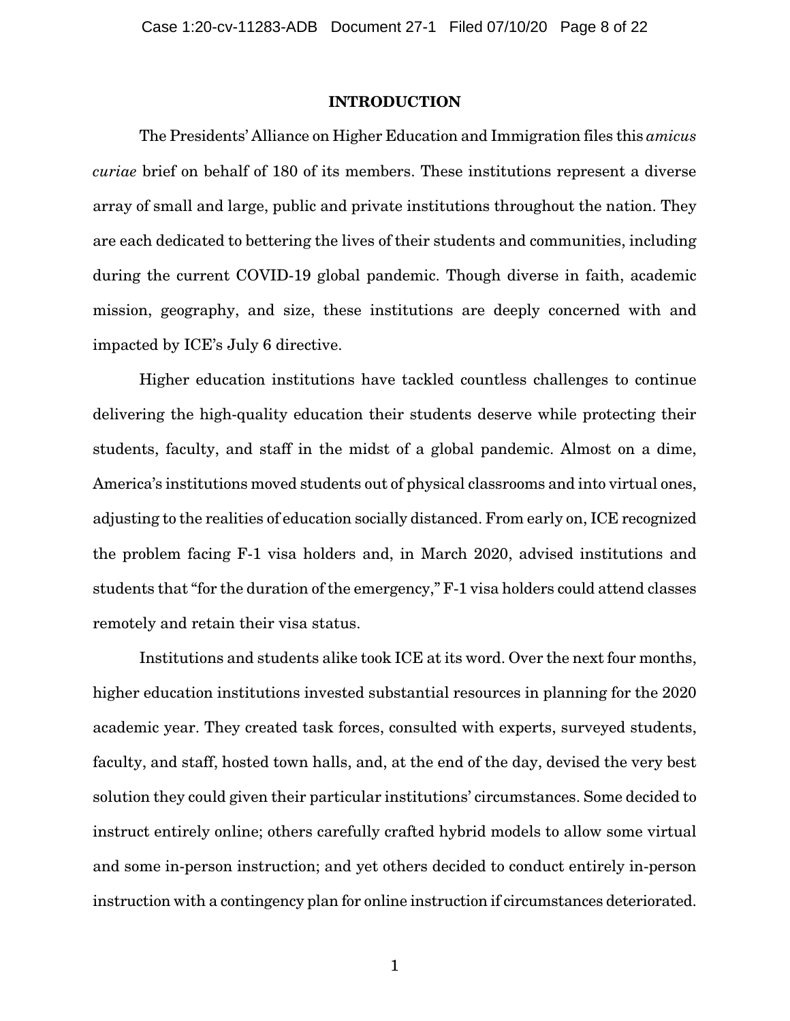### INTRODUCTION

The Presidents' Alliance on Higher Education and Immigration files this *amicus curiae* brief on behalf of 180 of its members. These institutions represent a diverse array of small and large, public and private institutions throughout the nation. They are each dedicated to bettering the lives of their students and communities, including during the current COVID-19 global pandemic. Though diverse in faith, academic mission, geography, and size, these institutions are deeply concerned with and impacted by ICE's July 6 directive.

Higher education institutions have tackled countless challenges to continue delivering the high-quality education their students deserve while protecting their students, faculty, and staff in the midst of a global pandemic. Almost on a dime, America's institutions moved students out of physical classrooms and into virtual ones, adjusting to the realities of education socially distanced. From early on, ICE recognized the problem facing F-1 visa holders and, in March 2020, advised institutions and students that "for the duration of the emergency," F-1 visa holders could attend classes remotely and retain their visa status.

Institutions and students alike took ICE at its word. Over the next four months, higher education institutions invested substantial resources in planning for the 2020 academic year. They created task forces, consulted with experts, surveyed students, faculty, and staff, hosted town halls, and, at the end of the day, devised the very best solution they could given their particular institutions' circumstances. Some decided to instruct entirely online; others carefully crafted hybrid models to allow some virtual and some in-person instruction; and yet others decided to conduct entirely in-person instruction with a contingency plan for online instruction if circumstances deteriorated.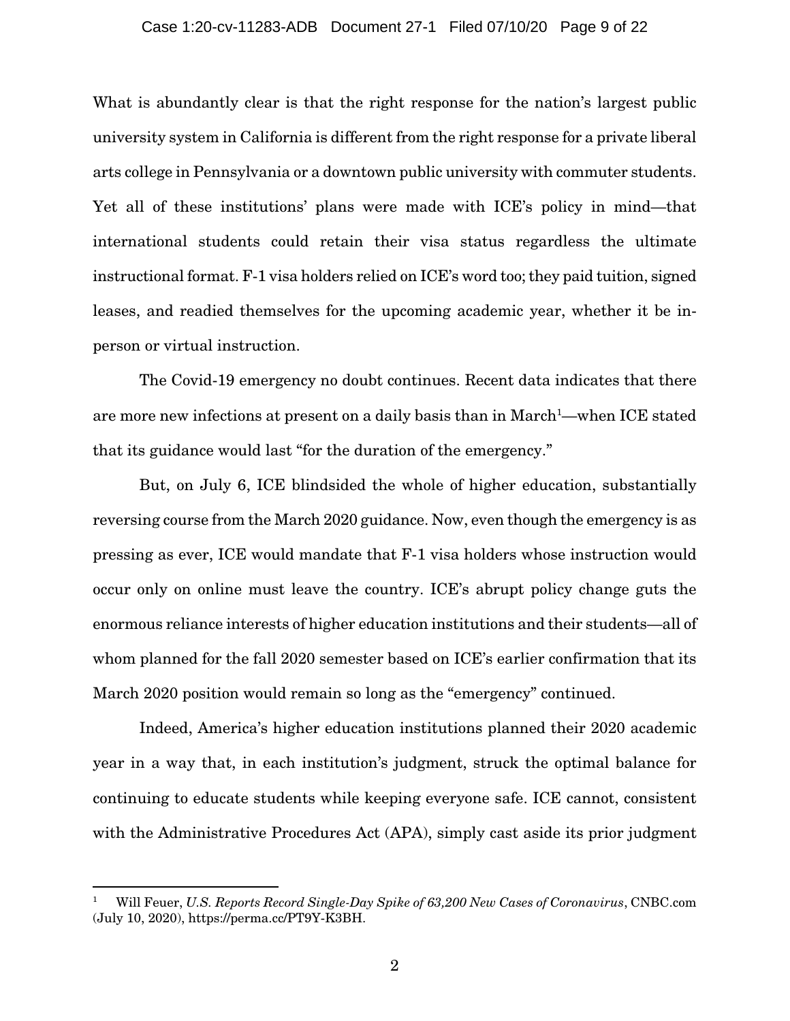#### Case 1:20-cv-11283-ADB Document 27-1 Filed 07/10/20 Page 9 of 22

What is abundantly clear is that the right response for the nation's largest public university system in California is different from the right response for a private liberal arts college in Pennsylvania or a downtown public university with commuter students. Yet all of these institutions' plans were made with ICE's policy in mind—that international students could retain their visa status regardless the ultimate instructional format. F-1 visa holders relied on ICE's word too; they paid tuition, signed leases, and readied themselves for the upcoming academic year, whether it be inperson or virtual instruction.

The Covid-19 emergency no doubt continues. Recent data indicates that there are more new infections at present on a daily basis than in March<sup>1</sup>—when ICE stated that its guidance would last "for the duration of the emergency."

But, on July 6, ICE blindsided the whole of higher education, substantially reversing course from the March 2020 guidance. Now, even though the emergency is as pressing as ever, ICE would mandate that F-1 visa holders whose instruction would occur only on online must leave the country. ICE's abrupt policy change guts the enormous reliance interests of higher education institutions and their students—all of whom planned for the fall 2020 semester based on ICE's earlier confirmation that its March 2020 position would remain so long as the "emergency" continued.

Indeed, America's higher education institutions planned their 2020 academic year in a way that, in each institution's judgment, struck the optimal balance for continuing to educate students while keeping everyone safe. ICE cannot, consistent with the Administrative Procedures Act (APA), simply cast aside its prior judgment

<sup>1</sup> Will Feuer, *U.S. Reports Record Single-Day Spike of 63,200 New Cases of Coronavirus*, CNBC.com (July 10, 2020), https://perma.cc/PT9Y-K3BH.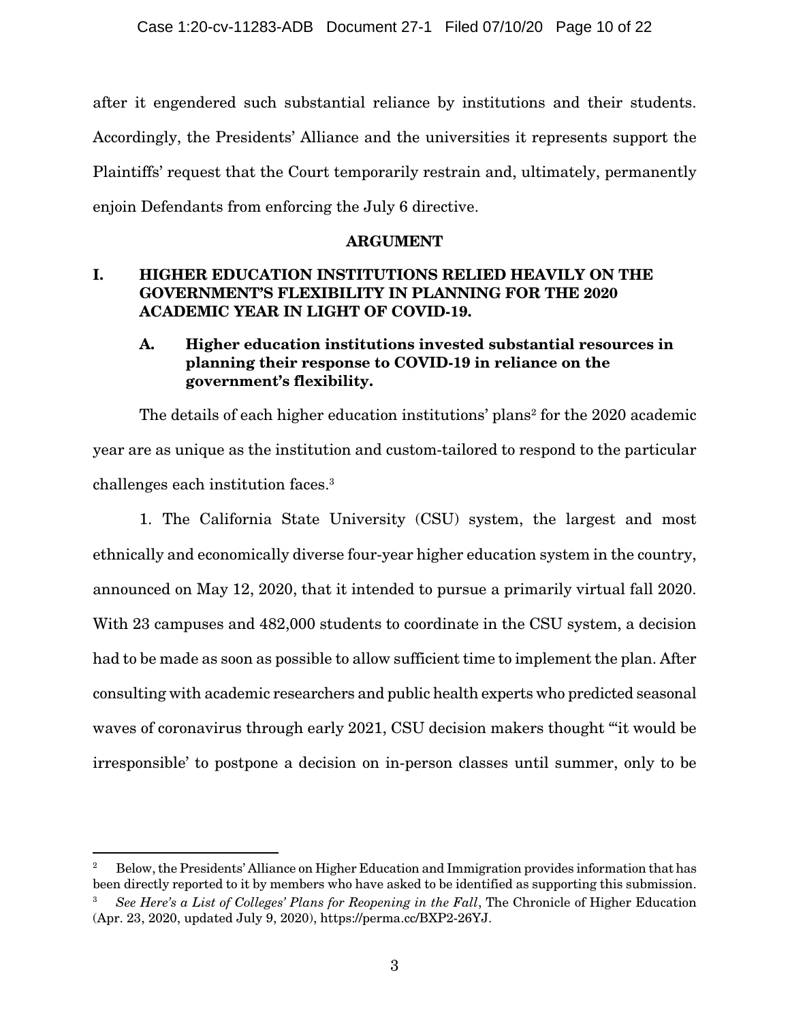after it engendered such substantial reliance by institutions and their students. Accordingly, the Presidents' Alliance and the universities it represents support the Plaintiffs' request that the Court temporarily restrain and, ultimately, permanently enjoin Defendants from enforcing the July 6 directive.

### ARGUMENT

## I. HIGHER EDUCATION INSTITUTIONS RELIED HEAVILY ON THE GOVERNMENT'S FLEXIBILITY IN PLANNING FOR THE 2020 ACADEMIC YEAR IN LIGHT OF COVID-19.

## A. Higher education institutions invested substantial resources in planning their response to COVID-19 in reliance on the government's flexibility.

The details of each higher education institutions' plans<sup>2</sup> for the 2020 academic year are as unique as the institution and custom-tailored to respond to the particular challenges each institution faces.3

1. The California State University (CSU) system, the largest and most ethnically and economically diverse four-year higher education system in the country, announced on May 12, 2020, that it intended to pursue a primarily virtual fall 2020. With 23 campuses and 482,000 students to coordinate in the CSU system, a decision had to be made as soon as possible to allow sufficient time to implement the plan. After consulting with academic researchers and public health experts who predicted seasonal waves of coronavirus through early 2021, CSU decision makers thought "'it would be irresponsible' to postpone a decision on in-person classes until summer, only to be

<sup>2</sup> Below, the Presidents' Alliance on Higher Education and Immigration provides information that has been directly reported to it by members who have asked to be identified as supporting this submission.

<sup>3</sup> *See Here's a List of Colleges' Plans for Reopening in the Fall*, The Chronicle of Higher Education (Apr. 23, 2020, updated July 9, 2020), https://perma.cc/BXP2-26YJ.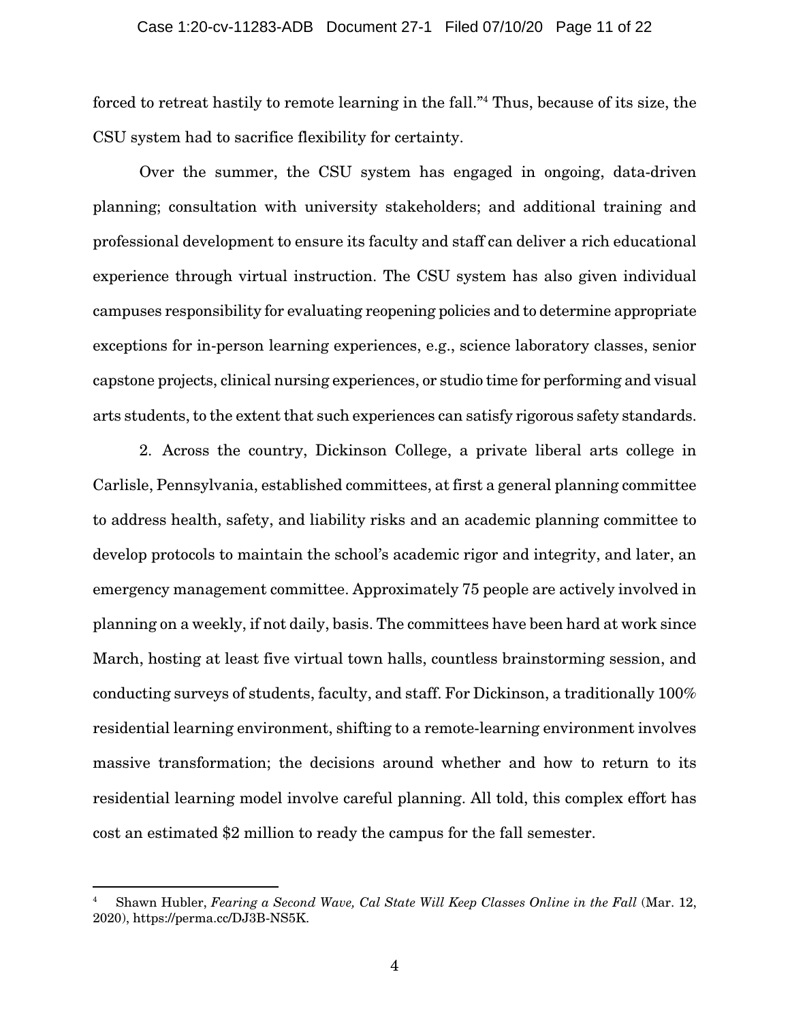forced to retreat hastily to remote learning in the fall."4 Thus, because of its size, the CSU system had to sacrifice flexibility for certainty.

Over the summer, the CSU system has engaged in ongoing, data-driven planning; consultation with university stakeholders; and additional training and professional development to ensure its faculty and staff can deliver a rich educational experience through virtual instruction. The CSU system has also given individual campuses responsibility for evaluating reopening policies and to determine appropriate exceptions for in-person learning experiences, e.g., science laboratory classes, senior capstone projects, clinical nursing experiences, or studio time for performing and visual arts students, to the extent that such experiences can satisfy rigorous safety standards.

2. Across the country, Dickinson College, a private liberal arts college in Carlisle, Pennsylvania, established committees, at first a general planning committee to address health, safety, and liability risks and an academic planning committee to develop protocols to maintain the school's academic rigor and integrity, and later, an emergency management committee. Approximately 75 people are actively involved in planning on a weekly, if not daily, basis. The committees have been hard at work since March, hosting at least five virtual town halls, countless brainstorming session, and conducting surveys of students, faculty, and staff. For Dickinson, a traditionally 100% residential learning environment, shifting to a remote-learning environment involves massive transformation; the decisions around whether and how to return to its residential learning model involve careful planning. All told, this complex effort has cost an estimated \$2 million to ready the campus for the fall semester.

<sup>4</sup> Shawn Hubler, *Fearing a Second Wave, Cal State Will Keep Classes Online in the Fall* (Mar. 12, 2020), https://perma.cc/DJ3B-NS5K.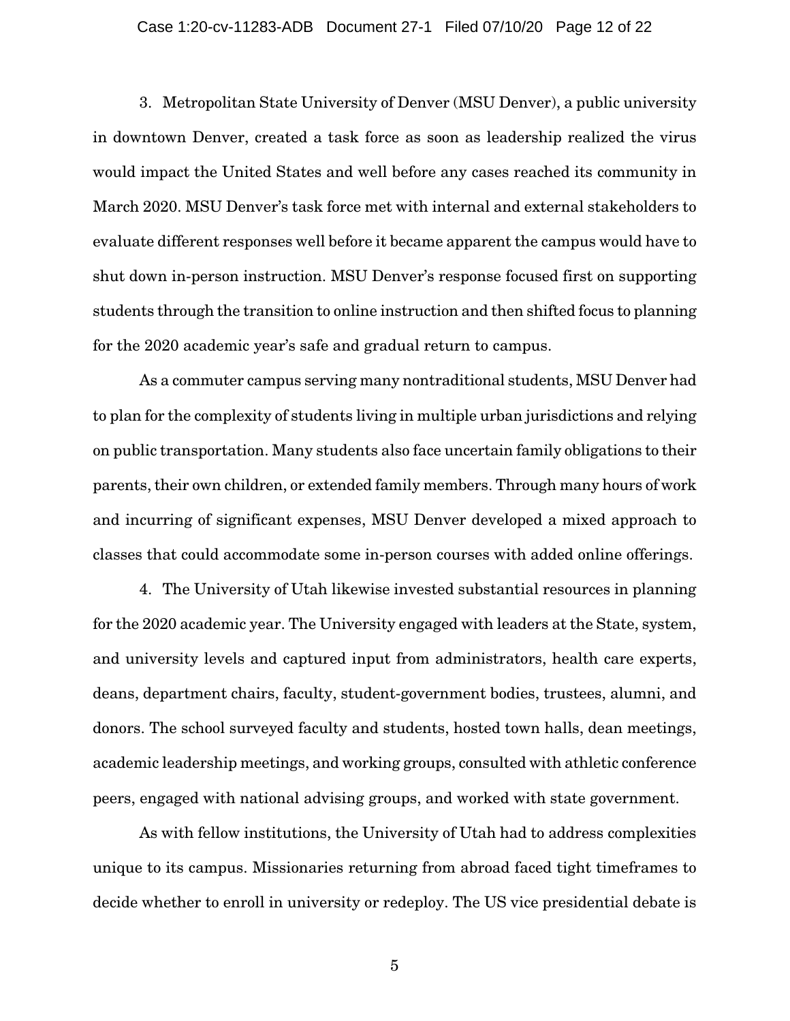#### Case 1:20-cv-11283-ADB Document 27-1 Filed 07/10/20 Page 12 of 22

3. Metropolitan State University of Denver (MSU Denver), a public university in downtown Denver, created a task force as soon as leadership realized the virus would impact the United States and well before any cases reached its community in March 2020. MSU Denver's task force met with internal and external stakeholders to evaluate different responses well before it became apparent the campus would have to shut down in-person instruction. MSU Denver's response focused first on supporting students through the transition to online instruction and then shifted focus to planning for the 2020 academic year's safe and gradual return to campus.

As a commuter campus serving many nontraditional students, MSU Denver had to plan for the complexity of students living in multiple urban jurisdictions and relying on public transportation. Many students also face uncertain family obligations to their parents, their own children, or extended family members. Through many hours of work and incurring of significant expenses, MSU Denver developed a mixed approach to classes that could accommodate some in-person courses with added online offerings.

4. The University of Utah likewise invested substantial resources in planning for the 2020 academic year. The University engaged with leaders at the State, system, and university levels and captured input from administrators, health care experts, deans, department chairs, faculty, student-government bodies, trustees, alumni, and donors. The school surveyed faculty and students, hosted town halls, dean meetings, academic leadership meetings, and working groups, consulted with athletic conference peers, engaged with national advising groups, and worked with state government.

As with fellow institutions, the University of Utah had to address complexities unique to its campus. Missionaries returning from abroad faced tight timeframes to decide whether to enroll in university or redeploy. The US vice presidential debate is

5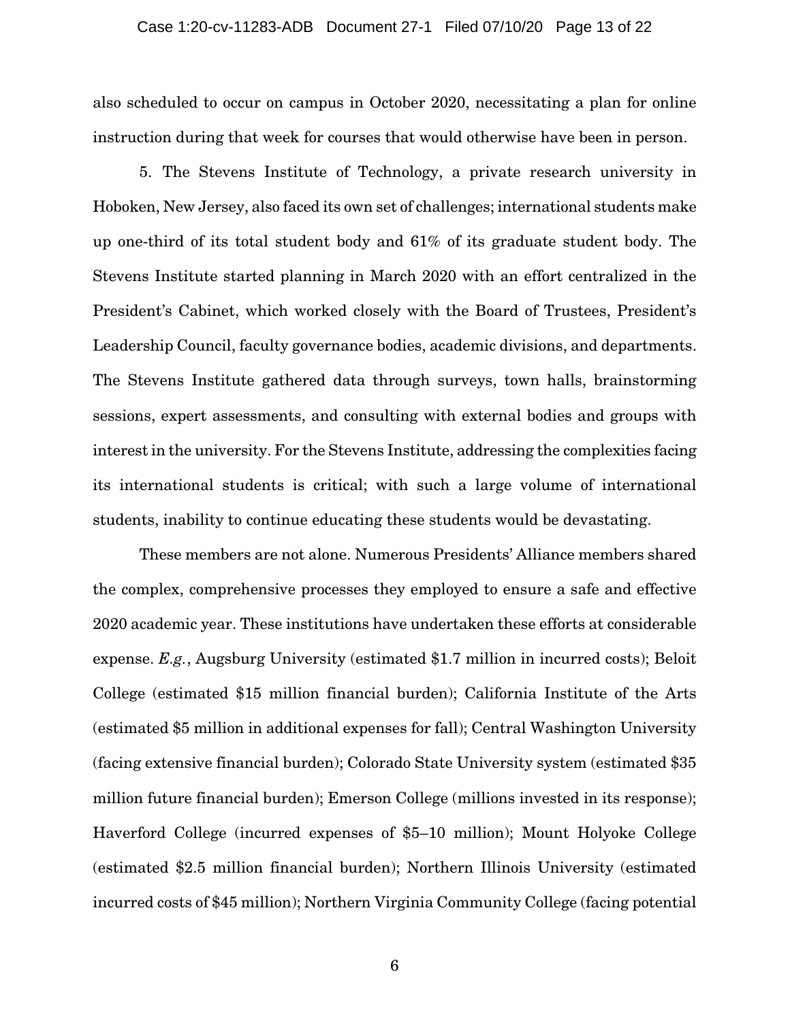also scheduled to occur on campus in October 2020, necessitating a plan for online instruction during that week for courses that would otherwise have been in person.

5. The Stevens Institute of Technology, a private research university in Hoboken, New Jersey, also faced its own set of challenges; international students make up one-third of its total student body and 61% of its graduate student body. The Stevens Institute started planning in March 2020 with an effort centralized in the President's Cabinet, which worked closely with the Board of Trustees, President's Leadership Council, faculty governance bodies, academic divisions, and departments. The Stevens Institute gathered data through surveys, town halls, brainstorming sessions, expert assessments, and consulting with external bodies and groups with interest in the university. For the Stevens Institute, addressing the complexities facing its international students is critical; with such a large volume of international students, inability to continue educating these students would be devastating.

These members are not alone. Numerous Presidents' Alliance members shared the complex, comprehensive processes they employed to ensure a safe and effective 2020 academic year. These institutions have undertaken these efforts at considerable expense. *E.g.*, Augsburg University (estimated \$1.7 million in incurred costs); Beloit College (estimated \$15 million financial burden); California Institute of the Arts (estimated \$5 million in additional expenses for fall); Central Washington University (facing extensive financial burden); Colorado State University system (estimated \$35 million future financial burden); Emerson College (millions invested in its response); Haverford College (incurred expenses of \$5–10 million); Mount Holyoke College (estimated \$2.5 million financial burden); Northern Illinois University (estimated incurred costs of \$45 million); Northern Virginia Community College (facing potential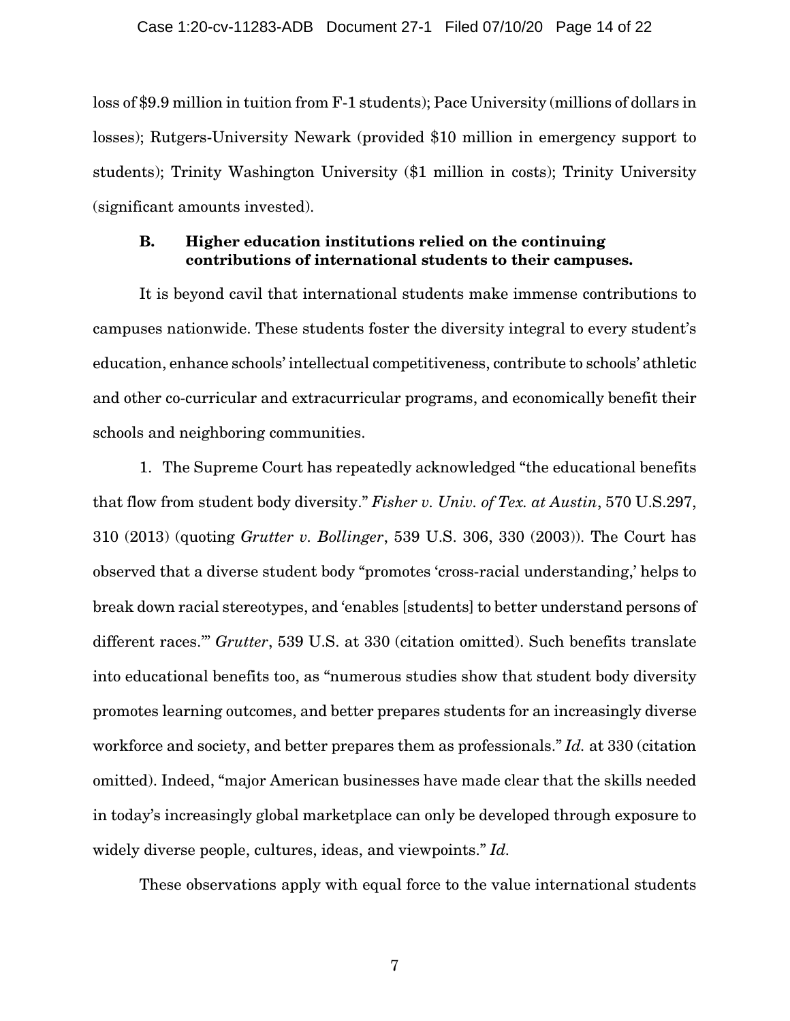loss of \$9.9 million in tuition from F-1 students); Pace University (millions of dollars in losses); Rutgers-University Newark (provided \$10 million in emergency support to students); Trinity Washington University (\$1 million in costs); Trinity University (significant amounts invested).

### B. Higher education institutions relied on the continuing contributions of international students to their campuses.

It is beyond cavil that international students make immense contributions to campuses nationwide. These students foster the diversity integral to every student's education, enhance schools' intellectual competitiveness, contribute to schools' athletic and other co-curricular and extracurricular programs, and economically benefit their schools and neighboring communities.

1. The Supreme Court has repeatedly acknowledged "the educational benefits that flow from student body diversity." *Fisher v. Univ. of Tex. at Austin*, 570 U.S.297, 310 (2013) (quoting *Grutter v. Bollinger*, 539 U.S. 306, 330 (2003)). The Court has observed that a diverse student body "promotes 'cross-racial understanding,' helps to break down racial stereotypes, and 'enables [students] to better understand persons of different races.'" *Grutter*, 539 U.S. at 330 (citation omitted). Such benefits translate into educational benefits too, as "numerous studies show that student body diversity promotes learning outcomes, and better prepares students for an increasingly diverse workforce and society, and better prepares them as professionals." *Id.* at 330 (citation omitted). Indeed, "major American businesses have made clear that the skills needed in today's increasingly global marketplace can only be developed through exposure to widely diverse people, cultures, ideas, and viewpoints." *Id.* 

These observations apply with equal force to the value international students

7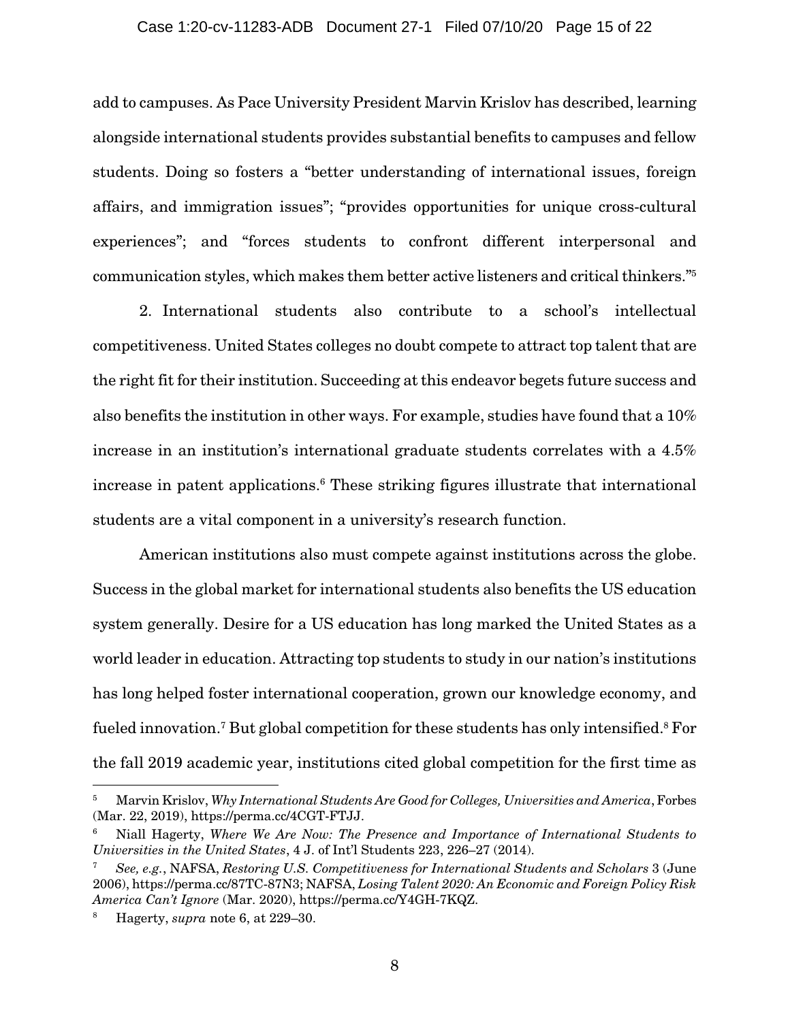### Case 1:20-cv-11283-ADB Document 27-1 Filed 07/10/20 Page 15 of 22

add to campuses. As Pace University President Marvin Krislov has described, learning alongside international students provides substantial benefits to campuses and fellow students. Doing so fosters a "better understanding of international issues, foreign affairs, and immigration issues"; "provides opportunities for unique cross-cultural experiences"; and "forces students to confront different interpersonal and communication styles, which makes them better active listeners and critical thinkers."5

2. International students also contribute to a school's intellectual competitiveness. United States colleges no doubt compete to attract top talent that are the right fit for their institution. Succeeding at this endeavor begets future success and also benefits the institution in other ways. For example, studies have found that a 10% increase in an institution's international graduate students correlates with a 4.5% increase in patent applications.<sup>6</sup> These striking figures illustrate that international students are a vital component in a university's research function.

American institutions also must compete against institutions across the globe. Success in the global market for international students also benefits the US education system generally. Desire for a US education has long marked the United States as a world leader in education. Attracting top students to study in our nation's institutions has long helped foster international cooperation, grown our knowledge economy, and fueled innovation.<sup>7</sup> But global competition for these students has only intensified.<sup>8</sup> For the fall 2019 academic year, institutions cited global competition for the first time as

<sup>5</sup> Marvin Krislov, *Why International Students Are Good for Colleges, Universities and America*, Forbes (Mar. 22, 2019), https://perma.cc/4CGT-FTJJ.

<sup>6</sup> Niall Hagerty, *Where We Are Now: The Presence and Importance of International Students to Universities in the United States*, 4 J. of Int'l Students 223, 226–27 (2014).

<sup>7</sup> *See, e.g.*, NAFSA, *Restoring U.S. Competitiveness for International Students and Scholars* 3 (June 2006), https://perma.cc/87TC-87N3; NAFSA, *Losing Talent 2020: An Economic and Foreign Policy Risk America Can't Ignore* (Mar. 2020), https://perma.cc/Y4GH-7KQZ.

<sup>8</sup> Hagerty, *supra* note 6, at 229–30.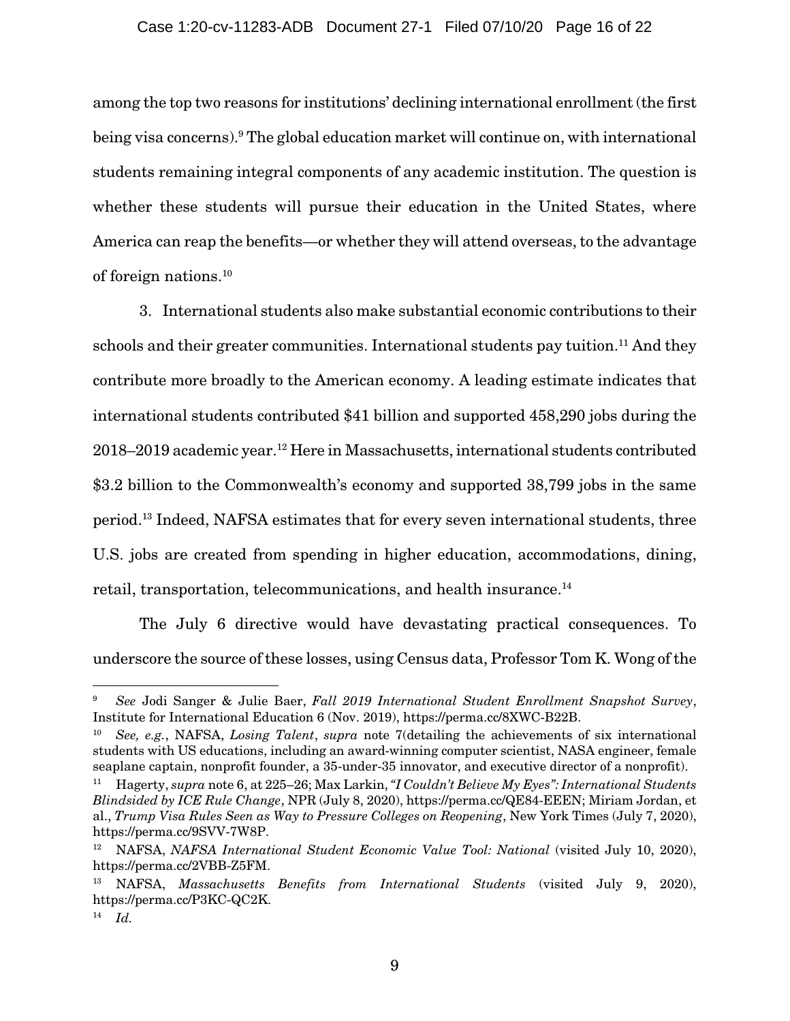### Case 1:20-cv-11283-ADB Document 27-1 Filed 07/10/20 Page 16 of 22

among the top two reasons for institutions' declining international enrollment (the first being visa concerns).<sup>9</sup> The global education market will continue on, with international students remaining integral components of any academic institution. The question is whether these students will pursue their education in the United States, where America can reap the benefits—or whether they will attend overseas, to the advantage of foreign nations.10

3. International students also make substantial economic contributions to their schools and their greater communities. International students pay tuition.<sup>11</sup> And they contribute more broadly to the American economy. A leading estimate indicates that international students contributed \$41 billion and supported 458,290 jobs during the 2018–2019 academic year.12 Here in Massachusetts, international students contributed \$3.2 billion to the Commonwealth's economy and supported 38,799 jobs in the same period.13 Indeed, NAFSA estimates that for every seven international students, three U.S. jobs are created from spending in higher education, accommodations, dining, retail, transportation, telecommunications, and health insurance.<sup>14</sup>

The July 6 directive would have devastating practical consequences. To underscore the source of these losses, using Census data, Professor Tom K. Wong of the

<sup>9</sup> *See* Jodi Sanger & Julie Baer, *Fall 2019 International Student Enrollment Snapshot Survey*, Institute for International Education 6 (Nov. 2019), https://perma.cc/8XWC-B22B.

<sup>10</sup> *See, e.g.*, NAFSA, *Losing Talent*, *supra* note 7(detailing the achievements of six international students with US educations, including an award-winning computer scientist, NASA engineer, female seaplane captain, nonprofit founder, a 35-under-35 innovator, and executive director of a nonprofit).

<sup>11</sup> Hagerty, *supra* note 6, at 225–26; Max Larkin, *"I Couldn't Believe My Eyes": International Students Blindsided by ICE Rule Change*, NPR (July 8, 2020), https://perma.cc/QE84-EEEN; Miriam Jordan, et al., *Trump Visa Rules Seen as Way to Pressure Colleges on Reopening*, New York Times (July 7, 2020), https://perma.cc/9SVV-7W8P.

<sup>&</sup>lt;sup>12</sup> NAFSA, *NAFSA International Student Economic Value Tool: National* (visited July 10, 2020), https://perma.cc/2VBB-Z5FM.

<sup>13</sup> NAFSA, *Massachusetts Benefits from International Students* (visited July 9, 2020), https://perma.cc/P3KC-QC2K.

<sup>14</sup> *Id.*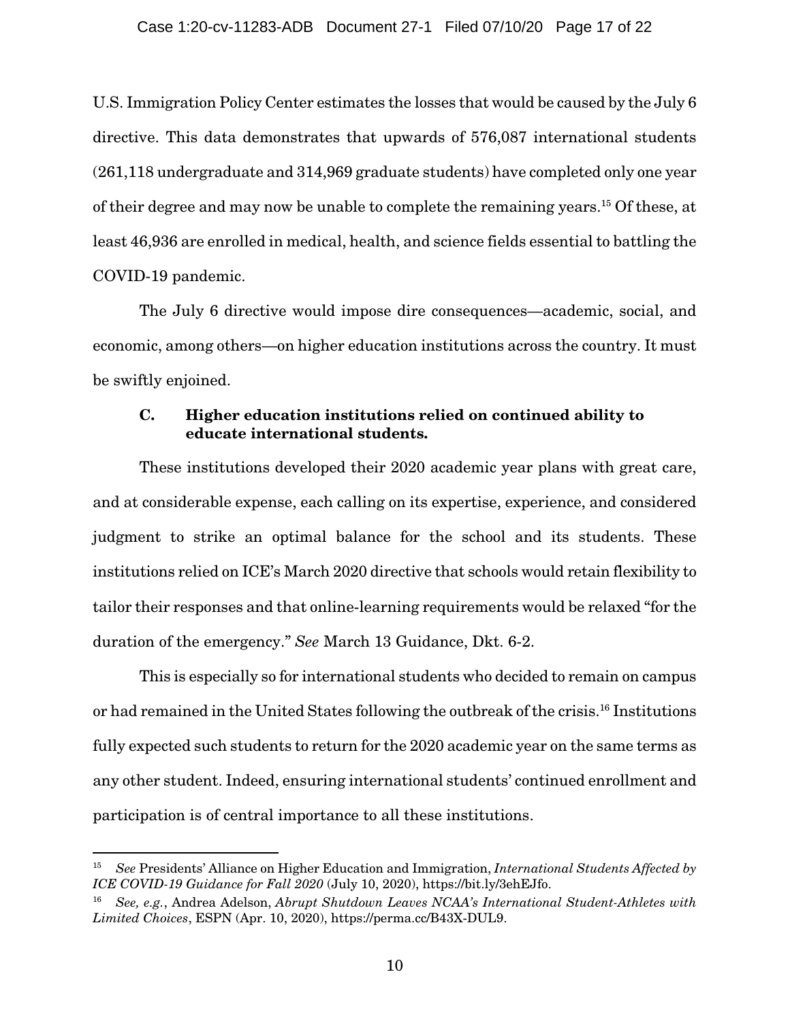U.S. Immigration Policy Center estimates the losses that would be caused by the July 6 directive. This data demonstrates that upwards of 576,087 international students (261,118 undergraduate and 314,969 graduate students) have completed only one year of their degree and may now be unable to complete the remaining years.15 Of these, at least 46,936 are enrolled in medical, health, and science fields essential to battling the COVID-19 pandemic.

The July 6 directive would impose dire consequences—academic, social, and economic, among others—on higher education institutions across the country. It must be swiftly enjoined.

### C. Higher education institutions relied on continued ability to educate international students.

These institutions developed their 2020 academic year plans with great care, and at considerable expense, each calling on its expertise, experience, and considered judgment to strike an optimal balance for the school and its students. These institutions relied on ICE's March 2020 directive that schools would retain flexibility to tailor their responses and that online-learning requirements would be relaxed "for the duration of the emergency." *See* March 13 Guidance, Dkt. 6-2.

This is especially so for international students who decided to remain on campus or had remained in the United States following the outbreak of the crisis.16 Institutions fully expected such students to return for the 2020 academic year on the same terms as any other student. Indeed, ensuring international students' continued enrollment and participation is of central importance to all these institutions.

<sup>15</sup> *See* Presidents' Alliance on Higher Education and Immigration, *International Students Affected by ICE COVID-19 Guidance for Fall 2020* (July 10, 2020), https://bit.ly/3ehEJfo.

<sup>16</sup> *See, e.g.*, Andrea Adelson, *Abrupt Shutdown Leaves NCAA's International Student-Athletes with Limited Choices*, ESPN (Apr. 10, 2020), https://perma.cc/B43X-DUL9.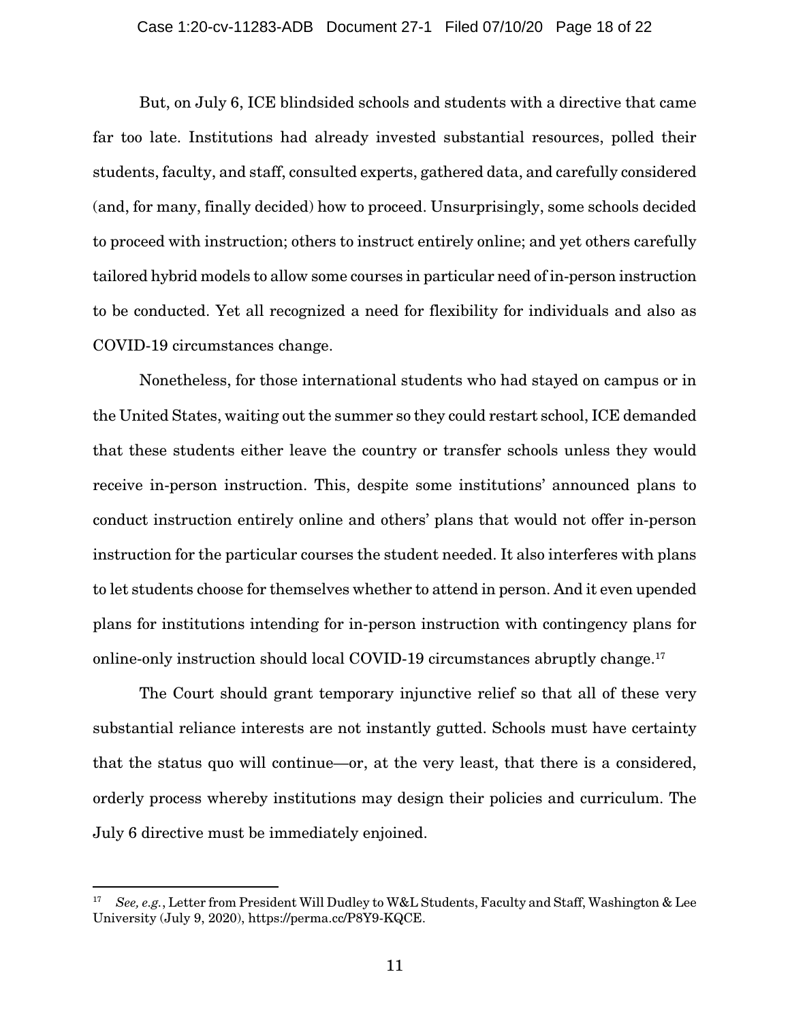But, on July 6, ICE blindsided schools and students with a directive that came far too late. Institutions had already invested substantial resources, polled their students, faculty, and staff, consulted experts, gathered data, and carefully considered (and, for many, finally decided) how to proceed. Unsurprisingly, some schools decided to proceed with instruction; others to instruct entirely online; and yet others carefully tailored hybrid models to allow some courses in particular need of in-person instruction to be conducted. Yet all recognized a need for flexibility for individuals and also as COVID-19 circumstances change.

Nonetheless, for those international students who had stayed on campus or in the United States, waiting out the summer so they could restart school, ICE demanded that these students either leave the country or transfer schools unless they would receive in-person instruction. This, despite some institutions' announced plans to conduct instruction entirely online and others' plans that would not offer in-person instruction for the particular courses the student needed. It also interferes with plans to let students choose for themselves whether to attend in person. And it even upended plans for institutions intending for in-person instruction with contingency plans for online-only instruction should local COVID-19 circumstances abruptly change.<sup>17</sup>

The Court should grant temporary injunctive relief so that all of these very substantial reliance interests are not instantly gutted. Schools must have certainty that the status quo will continue—or, at the very least, that there is a considered, orderly process whereby institutions may design their policies and curriculum. The July 6 directive must be immediately enjoined.

<sup>17</sup> *See, e.g.*, Letter from President Will Dudley to W&L Students, Faculty and Staff, Washington & Lee University (July 9, 2020), https://perma.cc/P8Y9-KQCE.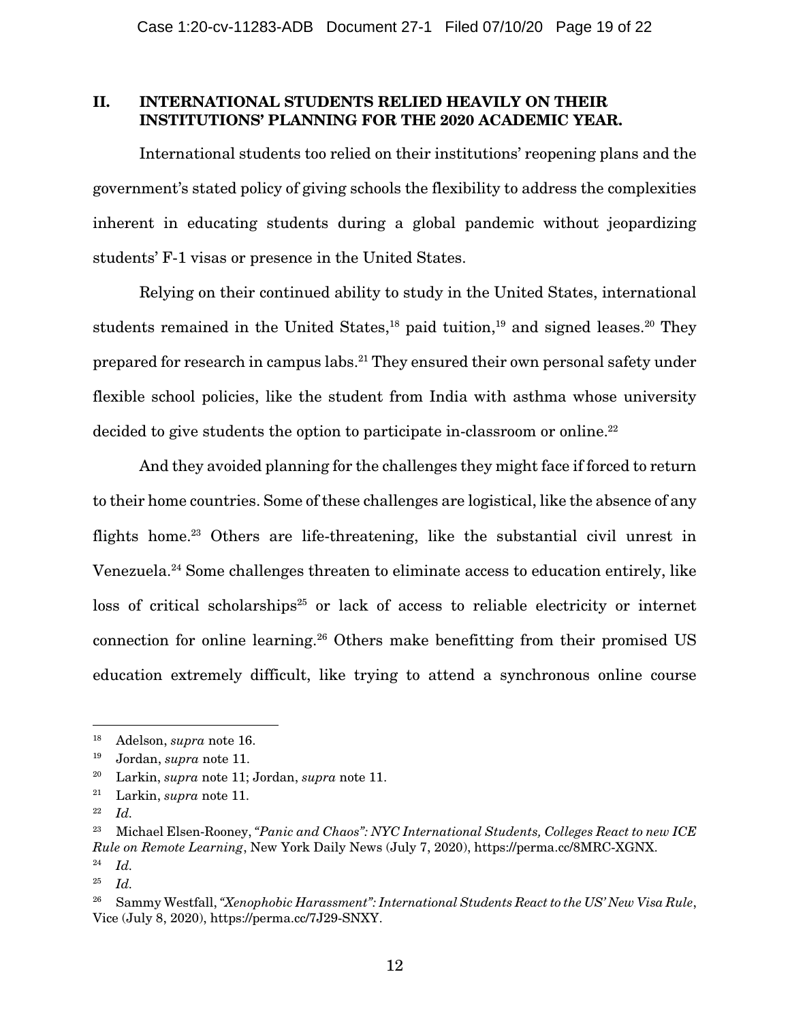### II. INTERNATIONAL STUDENTS RELIED HEAVILY ON THEIR INSTITUTIONS' PLANNING FOR THE 2020 ACADEMIC YEAR.

International students too relied on their institutions' reopening plans and the government's stated policy of giving schools the flexibility to address the complexities inherent in educating students during a global pandemic without jeopardizing students' F-1 visas or presence in the United States.

Relying on their continued ability to study in the United States, international students remained in the United States, $18$  paid tuition, $19$  and signed leases. $20$  They prepared for research in campus labs.21 They ensured their own personal safety under flexible school policies, like the student from India with asthma whose university decided to give students the option to participate in-classroom or online.<sup>22</sup>

And they avoided planning for the challenges they might face if forced to return to their home countries. Some of these challenges are logistical, like the absence of any flights home.<sup>23</sup> Others are life-threatening, like the substantial civil unrest in Venezuela.24 Some challenges threaten to eliminate access to education entirely, like loss of critical scholarships<sup>25</sup> or lack of access to reliable electricity or internet connection for online learning.26 Others make benefitting from their promised US education extremely difficult, like trying to attend a synchronous online course

22 *Id.*

<sup>18</sup> Adelson, *supra* note 16.

<sup>19</sup> Jordan, *supra* note 11.

<sup>20</sup> Larkin, *supra* note 11; Jordan, *supra* note 11.

<sup>21</sup> Larkin, *supra* note 11.

<sup>23</sup> Michael Elsen-Rooney, *"Panic and Chaos": NYC International Students, Colleges React to new ICE Rule on Remote Learning*, New York Daily News (July 7, 2020), https://perma.cc/8MRC-XGNX. 24 *Id.*

<sup>25</sup> *Id.*

<sup>26</sup> Sammy Westfall, *"Xenophobic Harassment": International Students React to the US' New Visa Rule*, Vice (July 8, 2020), https://perma.cc/7J29-SNXY.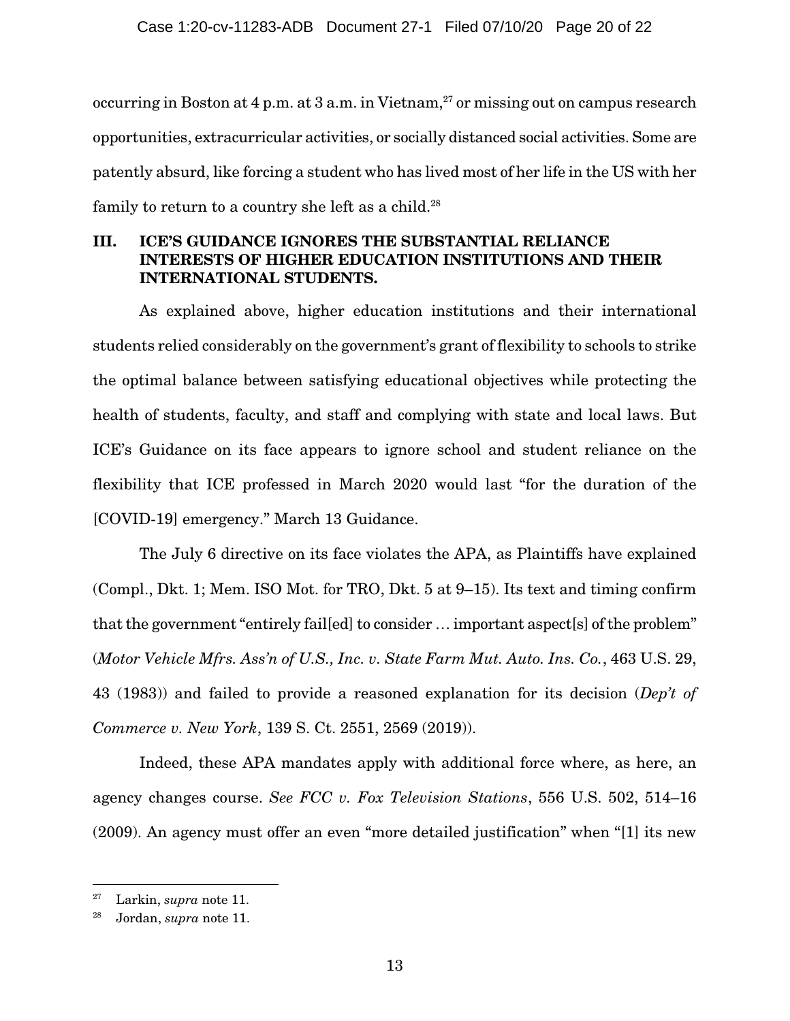occurring in Boston at  $4$  p.m. at  $3$  a.m. in Vietnam,<sup>27</sup> or missing out on campus research opportunities, extracurricular activities, or socially distanced social activities. Some are patently absurd, like forcing a student who has lived most of her life in the US with her family to return to a country she left as a child.<sup>28</sup>

## III. ICE'S GUIDANCE IGNORES THE SUBSTANTIAL RELIANCE INTERESTS OF HIGHER EDUCATION INSTITUTIONS AND THEIR INTERNATIONAL STUDENTS.

As explained above, higher education institutions and their international students relied considerably on the government's grant of flexibility to schools to strike the optimal balance between satisfying educational objectives while protecting the health of students, faculty, and staff and complying with state and local laws. But ICE's Guidance on its face appears to ignore school and student reliance on the flexibility that ICE professed in March 2020 would last "for the duration of the [COVID-19] emergency." March 13 Guidance.

The July 6 directive on its face violates the APA, as Plaintiffs have explained (Compl., Dkt. 1; Mem. ISO Mot. for TRO, Dkt. 5 at 9–15). Its text and timing confirm that the government "entirely fail[ed] to consider … important aspect[s] of the problem" (*Motor Vehicle Mfrs. Ass'n of U.S., Inc. v. State Farm Mut. Auto. Ins. Co.*, 463 U.S. 29, 43 (1983)) and failed to provide a reasoned explanation for its decision (*Dep't of Commerce v. New York*, 139 S. Ct. 2551, 2569 (2019)).

Indeed, these APA mandates apply with additional force where, as here, an agency changes course. *See FCC v. Fox Television Stations*, 556 U.S. 502, 514–16 (2009). An agency must offer an even "more detailed justification" when "[1] its new

<sup>27</sup> Larkin, *supra* note 11.

<sup>28</sup> Jordan, *supra* note 11.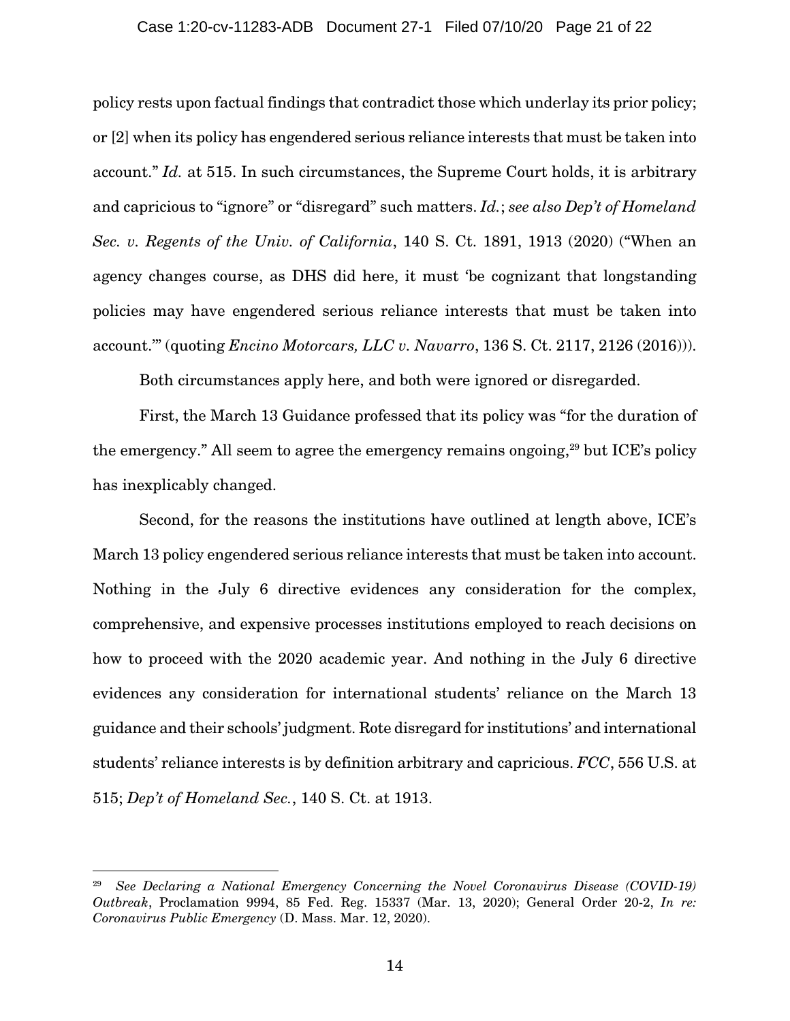#### Case 1:20-cv-11283-ADB Document 27-1 Filed 07/10/20 Page 21 of 22

policy rests upon factual findings that contradict those which underlay its prior policy; or [2] when its policy has engendered serious reliance interests that must be taken into account." *Id.* at 515. In such circumstances, the Supreme Court holds, it is arbitrary and capricious to "ignore" or "disregard" such matters. *Id.*; *see also Dep't of Homeland Sec. v. Regents of the Univ. of California*, 140 S. Ct. 1891, 1913 (2020) ("When an agency changes course, as DHS did here, it must 'be cognizant that longstanding policies may have engendered serious reliance interests that must be taken into account.'" (quoting *Encino Motorcars, LLC v. Navarro*, 136 S. Ct. 2117, 2126 (2016))).

Both circumstances apply here, and both were ignored or disregarded.

First, the March 13 Guidance professed that its policy was "for the duration of the emergency." All seem to agree the emergency remains ongoing,<sup>29</sup> but ICE's policy has inexplicably changed.

Second, for the reasons the institutions have outlined at length above, ICE's March 13 policy engendered serious reliance interests that must be taken into account. Nothing in the July 6 directive evidences any consideration for the complex, comprehensive, and expensive processes institutions employed to reach decisions on how to proceed with the 2020 academic year. And nothing in the July 6 directive evidences any consideration for international students' reliance on the March 13 guidance and their schools' judgment. Rote disregard for institutions' and international students' reliance interests is by definition arbitrary and capricious. *FCC*, 556 U.S. at 515; *Dep't of Homeland Sec.*, 140 S. Ct. at 1913.

<sup>29</sup> *See Declaring a National Emergency Concerning the Novel Coronavirus Disease (COVID-19) Outbreak*, Proclamation 9994, 85 Fed. Reg. 15337 (Mar. 13, 2020); General Order 20-2, *In re: Coronavirus Public Emergency* (D. Mass. Mar. 12, 2020).